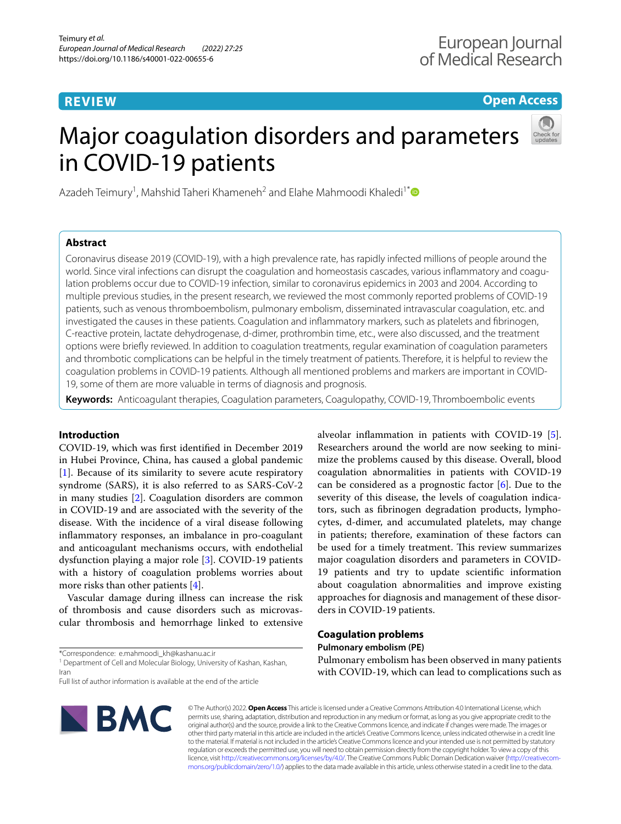# **REVIEW**

**Open Access**

# Major coagulation disorders and parameters in COVID-19 patients



Azadeh Teimury<sup>1</sup>, Mahshid Taheri Khameneh<sup>2</sup> and Elahe Mahmoodi Khaledi<sup>1[\\*](http://orcid.org/0000-0002-6030-9849)</sup>

# **Abstract**

Coronavirus disease 2019 (COVID-19), with a high prevalence rate, has rapidly infected millions of people around the world. Since viral infections can disrupt the coagulation and homeostasis cascades, various infammatory and coagulation problems occur due to COVID-19 infection, similar to coronavirus epidemics in 2003 and 2004. According to multiple previous studies, in the present research, we reviewed the most commonly reported problems of COVID-19 patients, such as venous thromboembolism, pulmonary embolism, disseminated intravascular coagulation, etc. and investigated the causes in these patients. Coagulation and infammatory markers, such as platelets and fbrinogen, C-reactive protein, lactate dehydrogenase, d-dimer, prothrombin time, etc., were also discussed, and the treatment options were briefy reviewed. In addition to coagulation treatments, regular examination of coagulation parameters and thrombotic complications can be helpful in the timely treatment of patients. Therefore, it is helpful to review the coagulation problems in COVID-19 patients. Although all mentioned problems and markers are important in COVID-19, some of them are more valuable in terms of diagnosis and prognosis.

**Keywords:** Anticoagulant therapies, Coagulation parameters, Coagulopathy, COVID-19, Thromboembolic events

# **Introduction**

COVID-19, which was frst identifed in December 2019 in Hubei Province, China, has caused a global pandemic [[1\]](#page-6-0). Because of its similarity to severe acute respiratory syndrome (SARS), it is also referred to as SARS-CoV-2 in many studies [\[2](#page-6-1)]. Coagulation disorders are common in COVID-19 and are associated with the severity of the disease. With the incidence of a viral disease following infammatory responses, an imbalance in pro-coagulant and anticoagulant mechanisms occurs, with endothelial dysfunction playing a major role [[3](#page-6-2)]. COVID-19 patients with a history of coagulation problems worries about more risks than other patients [\[4\]](#page-6-3).

Vascular damage during illness can increase the risk of thrombosis and cause disorders such as microvascular thrombosis and hemorrhage linked to extensive

\*Correspondence: e.mahmoodi\_kh@kashanu.ac.ir

<sup>1</sup> Department of Cell and Molecular Biology, University of Kashan, Kashan, Iran

alveolar infammation in patients with COVID-19 [\[5](#page-6-4)]. Researchers around the world are now seeking to minimize the problems caused by this disease. Overall, blood coagulation abnormalities in patients with COVID-19 can be considered as a prognostic factor [\[6](#page-6-5)]. Due to the severity of this disease, the levels of coagulation indicators, such as fbrinogen degradation products, lymphocytes, d-dimer, and accumulated platelets, may change in patients; therefore, examination of these factors can be used for a timely treatment. This review summarizes major coagulation disorders and parameters in COVID-19 patients and try to update scientifc information about coagulation abnormalities and improve existing approaches for diagnosis and management of these disorders in COVID-19 patients.

# **Coagulation problems**

**Pulmonary embolism (PE)**

Pulmonary embolism has been observed in many patients with COVID-19, which can lead to complications such as



© The Author(s) 2022. **Open Access** This article is licensed under a Creative Commons Attribution 4.0 International License, which permits use, sharing, adaptation, distribution and reproduction in any medium or format, as long as you give appropriate credit to the original author(s) and the source, provide a link to the Creative Commons licence, and indicate if changes were made. The images or other third party material in this article are included in the article's Creative Commons licence, unless indicated otherwise in a credit line to the material. If material is not included in the article's Creative Commons licence and your intended use is not permitted by statutory regulation or exceeds the permitted use, you will need to obtain permission directly from the copyright holder. To view a copy of this licence, visit [http://creativecommons.org/licenses/by/4.0/.](http://creativecommons.org/licenses/by/4.0/) The Creative Commons Public Domain Dedication waiver ([http://creativecom](http://creativecommons.org/publicdomain/zero/1.0/)[mons.org/publicdomain/zero/1.0/\)](http://creativecommons.org/publicdomain/zero/1.0/) applies to the data made available in this article, unless otherwise stated in a credit line to the data.

Full list of author information is available at the end of the article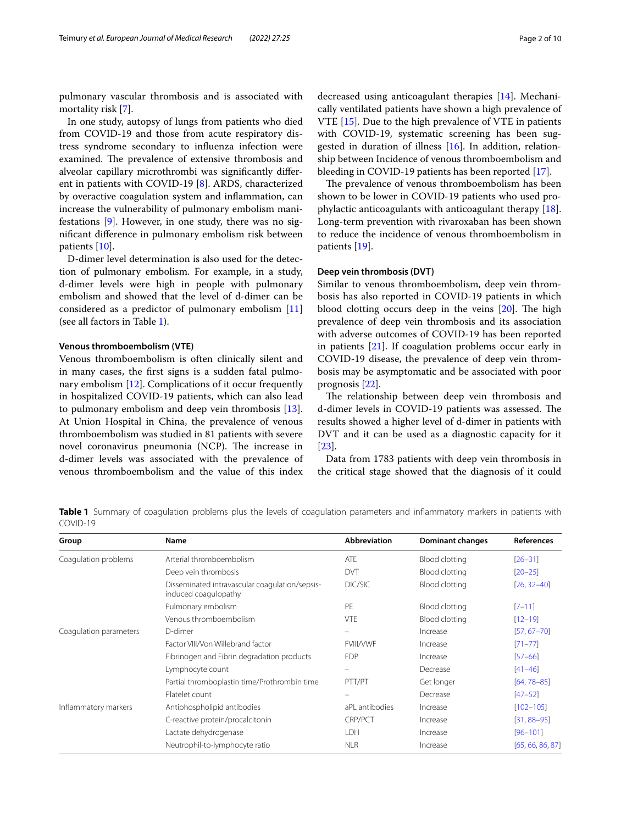pulmonary vascular thrombosis and is associated with mortality risk [[7\]](#page-6-6).

In one study, autopsy of lungs from patients who died from COVID-19 and those from acute respiratory distress syndrome secondary to infuenza infection were examined. The prevalence of extensive thrombosis and alveolar capillary microthrombi was signifcantly diferent in patients with COVID-19 [\[8](#page-6-7)]. ARDS, characterized by overactive coagulation system and infammation, can increase the vulnerability of pulmonary embolism manifestations [[9\]](#page-6-8). However, in one study, there was no signifcant diference in pulmonary embolism risk between patients [[10\]](#page-6-9).

D-dimer level determination is also used for the detection of pulmonary embolism. For example, in a study, d-dimer levels were high in people with pulmonary embolism and showed that the level of d-dimer can be considered as a predictor of pulmonary embolism [[11](#page-6-10)] (see all factors in Table [1\)](#page-1-0).

# **Venous thromboembolism (VTE)**

Venous thromboembolism is often clinically silent and in many cases, the frst signs is a sudden fatal pulmonary embolism [[12\]](#page-6-11). Complications of it occur frequently in hospitalized COVID-19 patients, which can also lead to pulmonary embolism and deep vein thrombosis [\[13](#page-6-12)]. At Union Hospital in China, the prevalence of venous thromboembolism was studied in 81 patients with severe novel coronavirus pneumonia (NCP). The increase in d-dimer levels was associated with the prevalence of venous thromboembolism and the value of this index decreased using anticoagulant therapies [[14\]](#page-6-13). Mechanically ventilated patients have shown a high prevalence of VTE [[15\]](#page-6-14). Due to the high prevalence of VTE in patients with COVID-19, systematic screening has been sug-gested in duration of illness [[16\]](#page-6-15). In addition, relationship between Incidence of venous thromboembolism and bleeding in COVID-19 patients has been reported [\[17](#page-6-16)].

The prevalence of venous thromboembolism has been shown to be lower in COVID-19 patients who used prophylactic anticoagulants with anticoagulant therapy [\[18](#page-7-0)]. Long-term prevention with rivaroxaban has been shown to reduce the incidence of venous thromboembolism in patients [[19\]](#page-7-1).

#### **Deep vein thrombosis (DVT)**

Similar to venous thromboembolism, deep vein thrombosis has also reported in COVID-19 patients in which blood clotting occurs deep in the veins  $[20]$  $[20]$ . The high prevalence of deep vein thrombosis and its association with adverse outcomes of COVID-19 has been reported in patients [\[21](#page-7-3)]. If coagulation problems occur early in COVID-19 disease, the prevalence of deep vein thrombosis may be asymptomatic and be associated with poor prognosis [\[22\]](#page-7-4).

The relationship between deep vein thrombosis and d-dimer levels in COVID-19 patients was assessed. The results showed a higher level of d-dimer in patients with DVT and it can be used as a diagnostic capacity for it [[23\]](#page-7-5).

Data from 1783 patients with deep vein thrombosis in the critical stage showed that the diagnosis of it could

<span id="page-1-0"></span>**Table 1** Summary of coagulation problems plus the levels of coagulation parameters and inflammatory markers in patients with COVID-19

| Group                  | Name                                                                   | Abbreviation     | <b>Dominant changes</b> | References       |
|------------------------|------------------------------------------------------------------------|------------------|-------------------------|------------------|
| Coagulation problems   | Arterial thromboembolism                                               | ATE              | <b>Blood clotting</b>   | $[26 - 31]$      |
|                        | Deep vein thrombosis                                                   | <b>DVT</b>       | <b>Blood clotting</b>   | $[20 - 25]$      |
|                        | Disseminated intravascular coagulation/sepsis-<br>induced coagulopathy | DIC/SIC          | <b>Blood clotting</b>   | $[26, 32-40]$    |
|                        | Pulmonary embolism                                                     | PE               | Blood clotting          | $[7 - 11]$       |
|                        | Venous thromboembolism                                                 | <b>VTE</b>       | <b>Blood clotting</b>   | $[12 - 19]$      |
| Coaqulation parameters | D-dimer                                                                | $\equiv$         | Increase                | $[57, 67 - 70]$  |
|                        | Factor VIII/Von Willebrand factor                                      | <b>FVIII/VWF</b> | Increase                | $[71 - 77]$      |
|                        | Fibrinogen and Fibrin degradation products                             | <b>FDP</b>       | Increase                | $[57 - 66]$      |
|                        | Lymphocyte count                                                       |                  | Decrease                | $[41 - 46]$      |
|                        | Partial thromboplastin time/Prothrombin time                           | PTT/PT           | Get longer              | $[64, 78 - 85]$  |
|                        | Platelet count                                                         |                  | Decrease                | $[47 - 52]$      |
| Inflammatory markers   | Antiphospholipid antibodies                                            | aPL antibodies   | Increase                | $[102 - 105]$    |
|                        | C-reactive protein/procalcitonin                                       | CRP/PCT          | Increase                | $[31, 88 - 95]$  |
|                        | Lactate dehydrogenase                                                  | LDH              | Increase                | $[96 - 101]$     |
|                        | Neutrophil-to-lymphocyte ratio                                         | <b>NLR</b>       | Increase                | [65, 66, 86, 87] |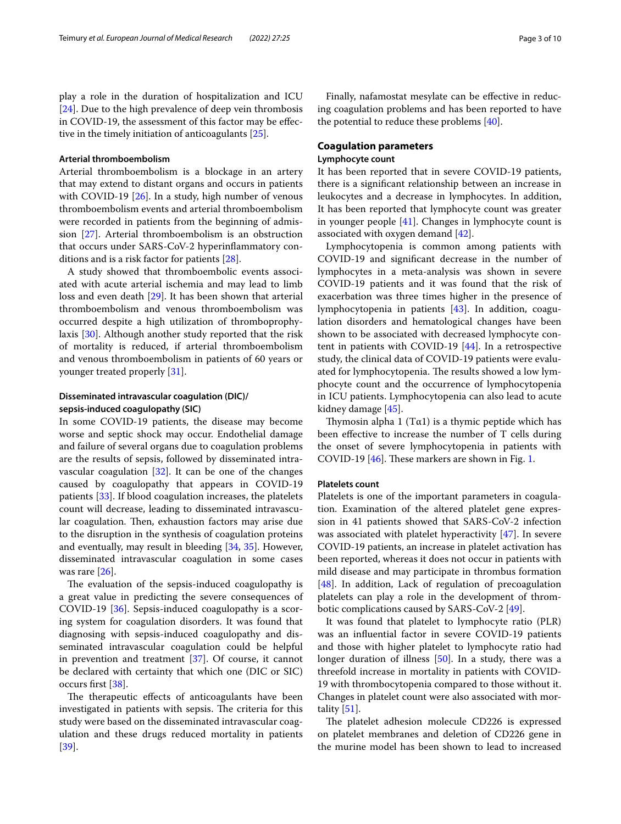play a role in the duration of hospitalization and ICU [[24\]](#page-7-16). Due to the high prevalence of deep vein thrombosis in COVID-19, the assessment of this factor may be efective in the timely initiation of anticoagulants [[25](#page-7-8)].

#### **Arterial thromboembolism**

Arterial thromboembolism is a blockage in an artery that may extend to distant organs and occurs in patients with COVID-19 [[26](#page-7-6)]. In a study, high number of venous thromboembolism events and arterial thromboembolism were recorded in patients from the beginning of admission [\[27](#page-7-17)]. Arterial thromboembolism is an obstruction that occurs under SARS-CoV-2 hyperinfammatory conditions and is a risk factor for patients [\[28](#page-7-18)].

A study showed that thromboembolic events associated with acute arterial ischemia and may lead to limb loss and even death [[29](#page-7-19)]. It has been shown that arterial thromboembolism and venous thromboembolism was occurred despite a high utilization of thromboprophylaxis [\[30](#page-7-20)]. Although another study reported that the risk of mortality is reduced, if arterial thromboembolism and venous thromboembolism in patients of 60 years or younger treated properly [[31\]](#page-7-7).

# **Disseminated intravascular coagulation (DIC)/ sepsis‑induced coagulopathy (SIC)**

In some COVID-19 patients, the disease may become worse and septic shock may occur. Endothelial damage and failure of several organs due to coagulation problems are the results of sepsis, followed by disseminated intravascular coagulation  $[32]$  $[32]$ . It can be one of the changes caused by coagulopathy that appears in COVID-19 patients [\[33\]](#page-7-21). If blood coagulation increases, the platelets count will decrease, leading to disseminated intravascular coagulation. Then, exhaustion factors may arise due to the disruption in the synthesis of coagulation proteins and eventually, may result in bleeding [[34,](#page-7-22) [35\]](#page-7-23). However, disseminated intravascular coagulation in some cases was rare [\[26](#page-7-6)].

The evaluation of the sepsis-induced coagulopathy is a great value in predicting the severe consequences of COVID-19 [[36\]](#page-7-24). Sepsis-induced coagulopathy is a scoring system for coagulation disorders. It was found that diagnosing with sepsis-induced coagulopathy and disseminated intravascular coagulation could be helpful in prevention and treatment [[37\]](#page-7-25). Of course, it cannot be declared with certainty that which one (DIC or SIC) occurs frst [[38\]](#page-7-26).

The therapeutic effects of anticoagulants have been investigated in patients with sepsis. The criteria for this study were based on the disseminated intravascular coagulation and these drugs reduced mortality in patients [[39\]](#page-7-27).

Finally, nafamostat mesylate can be efective in reducing coagulation problems and has been reported to have the potential to reduce these problems [\[40\]](#page-7-10).

# **Coagulation parameters**

# **Lymphocyte count**

It has been reported that in severe COVID-19 patients, there is a signifcant relationship between an increase in leukocytes and a decrease in lymphocytes. In addition, It has been reported that lymphocyte count was greater in younger people [\[41](#page-7-12)]. Changes in lymphocyte count is associated with oxygen demand [[42](#page-7-28)].

Lymphocytopenia is common among patients with COVID-19 and signifcant decrease in the number of lymphocytes in a meta-analysis was shown in severe COVID-19 patients and it was found that the risk of exacerbation was three times higher in the presence of lymphocytopenia in patients [\[43](#page-7-29)]. In addition, coagulation disorders and hematological changes have been shown to be associated with decreased lymphocyte content in patients with COVID-19 [\[44\]](#page-7-30). In a retrospective study, the clinical data of COVID-19 patients were evaluated for lymphocytopenia. The results showed a low lymphocyte count and the occurrence of lymphocytopenia in ICU patients. Lymphocytopenia can also lead to acute kidney damage [[45](#page-7-31)].

Thymosin alpha 1 ( $T\alpha$ 1) is a thymic peptide which has been efective to increase the number of T cells during the onset of severe lymphocytopenia in patients with COVID-19  $[46]$  $[46]$  $[46]$ . These markers are shown in Fig. [1](#page-3-0).

## **Platelets count**

Platelets is one of the important parameters in coagulation. Examination of the altered platelet gene expression in 41 patients showed that SARS-CoV-2 infection was associated with platelet hyperactivity [[47\]](#page-7-14). In severe COVID-19 patients, an increase in platelet activation has been reported, whereas it does not occur in patients with mild disease and may participate in thrombus formation [[48\]](#page-7-32). In addition, Lack of regulation of precoagulation platelets can play a role in the development of thrombotic complications caused by SARS-CoV-2 [\[49](#page-7-33)].

It was found that platelet to lymphocyte ratio (PLR) was an infuential factor in severe COVID-19 patients and those with higher platelet to lymphocyte ratio had longer duration of illness [[50](#page-7-34)]. In a study, there was a threefold increase in mortality in patients with COVID-19 with thrombocytopenia compared to those without it. Changes in platelet count were also associated with mortality [[51\]](#page-7-35).

The platelet adhesion molecule CD226 is expressed on platelet membranes and deletion of CD226 gene in the murine model has been shown to lead to increased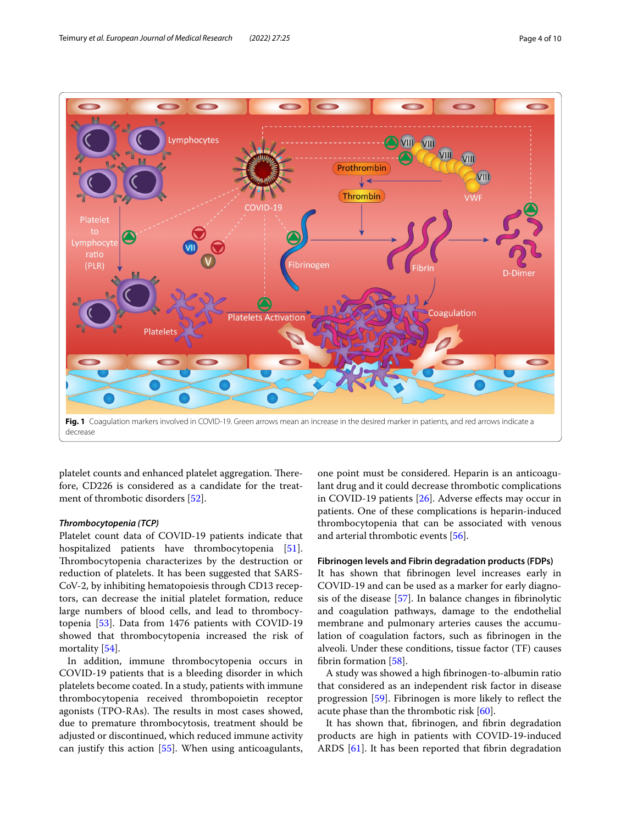

<span id="page-3-0"></span>platelet counts and enhanced platelet aggregation. Therefore, CD226 is considered as a candidate for the treatment of thrombotic disorders [[52\]](#page-7-15).

#### *Thrombocytopenia (TCP)*

Platelet count data of COVID-19 patients indicate that hospitalized patients have thrombocytopenia [\[51](#page-7-35)]. Thrombocytopenia characterizes by the destruction or reduction of platelets. It has been suggested that SARS-CoV-2, by inhibiting hematopoiesis through CD13 receptors, can decrease the initial platelet formation, reduce large numbers of blood cells, and lead to thrombocytopenia [[53\]](#page-7-36). Data from 1476 patients with COVID-19 showed that thrombocytopenia increased the risk of mortality [\[54\]](#page-7-37).

In addition, immune thrombocytopenia occurs in COVID-19 patients that is a bleeding disorder in which platelets become coated. In a study, patients with immune thrombocytopenia received thrombopoietin receptor agonists (TPO-RAs). The results in most cases showed, due to premature thrombocytosis, treatment should be adjusted or discontinued, which reduced immune activity can justify this action [[55\]](#page-7-38). When using anticoagulants,

one point must be considered. Heparin is an anticoagulant drug and it could decrease thrombotic complications in COVID-19 patients [[26\]](#page-7-6). Adverse efects may occur in patients. One of these complications is heparin-induced thrombocytopenia that can be associated with venous and arterial thrombotic events [\[56](#page-7-39)].

#### **Fibrinogen levels and Fibrin degradation products (FDPs)**

It has shown that fbrinogen level increases early in COVID-19 and can be used as a marker for early diagnosis of the disease [\[57](#page-7-11)]. In balance changes in fbrinolytic and coagulation pathways, damage to the endothelial membrane and pulmonary arteries causes the accumulation of coagulation factors, such as fbrinogen in the alveoli. Under these conditions, tissue factor (TF) causes fbrin formation [[58\]](#page-7-40).

A study was showed a high fbrinogen-to-albumin ratio that considered as an independent risk factor in disease progression [\[59](#page-7-41)]. Fibrinogen is more likely to refect the acute phase than the thrombotic risk [\[60](#page-7-42)].

It has shown that, fbrinogen, and fbrin degradation products are high in patients with COVID-19-induced ARDS [[61\]](#page-7-43). It has been reported that fibrin degradation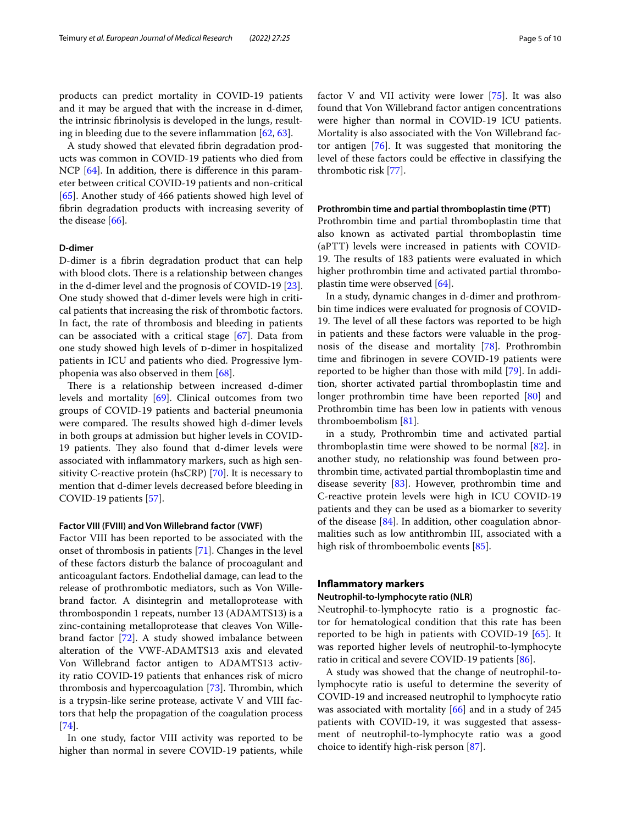products can predict mortality in COVID-19 patients and it may be argued that with the increase in d-dimer, the intrinsic fbrinolysis is developed in the lungs, resulting in bleeding due to the severe inflammation  $[62, 63]$  $[62, 63]$  $[62, 63]$  $[62, 63]$ .

A study showed that elevated fbrin degradation products was common in COVID-19 patients who died from NCP [\[64](#page-8-5)]. In addition, there is difference in this parameter between critical COVID-19 patients and non-critical [[65\]](#page-8-13). Another study of 466 patients showed high level of fbrin degradation products with increasing severity of the disease [[66\]](#page-8-4).

# **D‑dimer**

D-dimer is a fbrin degradation product that can help with blood clots. There is a relationship between changes in the d-dimer level and the prognosis of COVID-19 [\[23](#page-7-5)]. One study showed that d-dimer levels were high in critical patients that increasing the risk of thrombotic factors. In fact, the rate of thrombosis and bleeding in patients can be associated with a critical stage [\[67](#page-8-0)]. Data from one study showed high levels of p-dimer in hospitalized patients in ICU and patients who died. Progressive lymphopenia was also observed in them [[68\]](#page-8-17).

There is a relationship between increased d-dimer levels and mortality [[69\]](#page-8-18). Clinical outcomes from two groups of COVID-19 patients and bacterial pneumonia were compared. The results showed high d-dimer levels in both groups at admission but higher levels in COVID-19 patients. They also found that d-dimer levels were associated with infammatory markers, such as high sensitivity C-reactive protein (hsCRP) [\[70\]](#page-8-1). It is necessary to mention that d-dimer levels decreased before bleeding in COVID-19 patients [\[57](#page-7-11)].

#### **Factor VIII (FVIII) and Von Willebrand factor (VWF)**

Factor VIII has been reported to be associated with the onset of thrombosis in patients [\[71\]](#page-8-2). Changes in the level of these factors disturb the balance of procoagulant and anticoagulant factors. Endothelial damage, can lead to the release of prothrombotic mediators, such as Von Willebrand factor. A disintegrin and metalloprotease with thrombospondin 1 repeats, number 13 (ADAMTS13) is a zinc-containing metalloprotease that cleaves Von Willebrand factor [[72\]](#page-8-19). A study showed imbalance between alteration of the VWF‐ADAMTS13 axis and elevated Von Willebrand factor antigen to ADAMTS13 activity ratio COVID‐19 patients that enhances risk of micro thrombosis and hypercoagulation  $[73]$  $[73]$ . Thrombin, which is a trypsin-like serine protease, activate V and VIII factors that help the propagation of the coagulation process [[74\]](#page-8-21).

In one study, factor VIII activity was reported to be higher than normal in severe COVID-19 patients, while factor V and VII activity were lower [[75\]](#page-8-22). It was also found that Von Willebrand factor antigen concentrations were higher than normal in COVID-19 ICU patients. Mortality is also associated with the Von Willebrand factor antigen [\[76](#page-8-23)]. It was suggested that monitoring the level of these factors could be efective in classifying the thrombotic risk [\[77\]](#page-8-3).

# **Prothrombin time and partial thromboplastin time (PTT)**

Prothrombin time and partial thromboplastin time that also known as activated partial thromboplastin time (aPTT) levels were increased in patients with COVID-19. The results of 183 patients were evaluated in which higher prothrombin time and activated partial thromboplastin time were observed [[64\]](#page-8-5).

In a study, dynamic changes in d-dimer and prothrombin time indices were evaluated for prognosis of COVID-19. The level of all these factors was reported to be high in patients and these factors were valuable in the prognosis of the disease and mortality [[78](#page-8-6)]. Prothrombin time and fbrinogen in severe COVID-19 patients were reported to be higher than those with mild [[79\]](#page-8-24). In addition, shorter activated partial thromboplastin time and longer prothrombin time have been reported [[80\]](#page-8-25) and Prothrombin time has been low in patients with venous thromboembolism [[81\]](#page-8-26).

in a study, Prothrombin time and activated partial thromboplastin time were showed to be normal  $[82]$  $[82]$ . in another study, no relationship was found between prothrombin time, activated partial thromboplastin time and disease severity [[83](#page-8-28)]. However, prothrombin time and C-reactive protein levels were high in ICU COVID-19 patients and they can be used as a biomarker to severity of the disease [[84\]](#page-8-29). In addition, other coagulation abnormalities such as low antithrombin III, associated with a high risk of thromboembolic events [[85\]](#page-8-7).

#### **Infammatory markers**

#### **Neutrophil‑to‑lymphocyte ratio (NLR)**

Neutrophil-to-lymphocyte ratio is a prognostic factor for hematological condition that this rate has been reported to be high in patients with COVID-19 [\[65](#page-8-13)]. It was reported higher levels of neutrophil-to-lymphocyte ratio in critical and severe COVID-19 patients [\[86](#page-8-14)].

A study was showed that the change of neutrophil-tolymphocyte ratio is useful to determine the severity of COVID-19 and increased neutrophil to lymphocyte ratio was associated with mortality [\[66\]](#page-8-4) and in a study of 245 patients with COVID-19, it was suggested that assessment of neutrophil-to-lymphocyte ratio was a good choice to identify high-risk person [[87](#page-8-15)].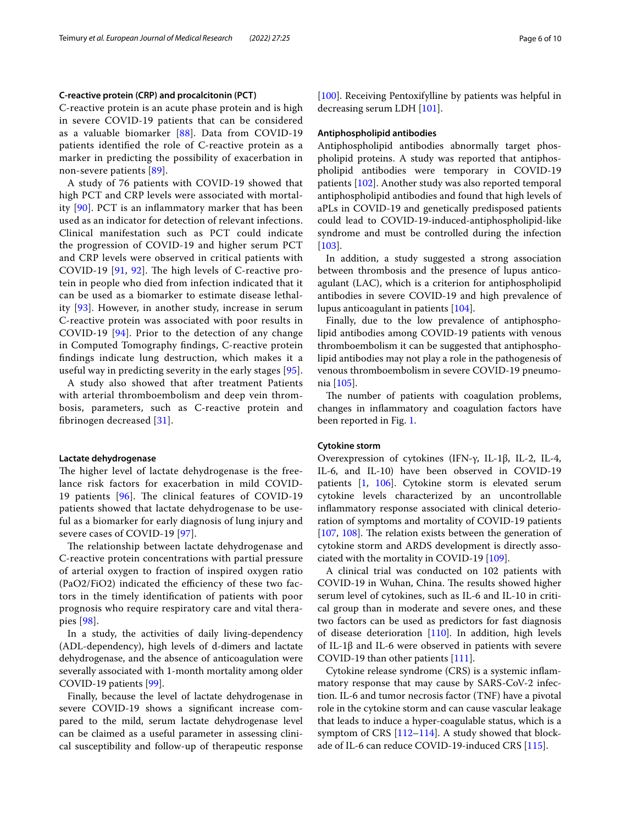#### **C‑reactive protein (CRP) and procalcitonin (PCT)**

C-reactive protein is an acute phase protein and is high in severe COVID-19 patients that can be considered as a valuable biomarker [\[88](#page-8-9)]. Data from COVID-19 patients identifed the role of C-reactive protein as a marker in predicting the possibility of exacerbation in non-severe patients [\[89](#page-8-30)].

A study of 76 patients with COVID-19 showed that high PCT and CRP levels were associated with mortality [[90](#page-8-31)]. PCT is an infammatory marker that has been used as an indicator for detection of relevant infections. Clinical manifestation such as PCT could indicate the progression of COVID-19 and higher serum PCT and CRP levels were observed in critical patients with COVID-19  $[91, 92]$  $[91, 92]$  $[91, 92]$  $[91, 92]$  $[91, 92]$ . The high levels of C-reactive protein in people who died from infection indicated that it can be used as a biomarker to estimate disease lethality [\[93\]](#page-8-34). However, in another study, increase in serum C-reactive protein was associated with poor results in COVID-19 [[94\]](#page-8-35). Prior to the detection of any change in Computed Tomography fndings, C-reactive protein fndings indicate lung destruction, which makes it a useful way in predicting severity in the early stages [[95\]](#page-8-10).

A study also showed that after treatment Patients with arterial thromboembolism and deep vein thrombosis, parameters, such as C-reactive protein and fbrinogen decreased [[31\]](#page-7-7).

#### **Lactate dehydrogenase**

The higher level of lactate dehydrogenase is the freelance risk factors for exacerbation in mild COVID-19 patients  $[96]$  $[96]$ . The clinical features of COVID-19 patients showed that lactate dehydrogenase to be useful as a biomarker for early diagnosis of lung injury and severe cases of COVID-19 [[97](#page-8-36)].

The relationship between lactate dehydrogenase and C-reactive protein concentrations with partial pressure of arterial oxygen to fraction of inspired oxygen ratio  $(PaO2/FiO2)$  indicated the efficiency of these two factors in the timely identifcation of patients with poor prognosis who require respiratory care and vital therapies [\[98](#page-8-37)].

In a study, the activities of daily living-dependency (ADL-dependency), high levels of d-dimers and lactate dehydrogenase, and the absence of anticoagulation were severally associated with 1-month mortality among older COVID-19 patients [\[99](#page-8-38)].

Finally, because the level of lactate dehydrogenase in severe COVID-19 shows a signifcant increase compared to the mild, serum lactate dehydrogenase level can be claimed as a useful parameter in assessing clinical susceptibility and follow-up of therapeutic response [[100\]](#page-8-39). Receiving Pentoxifylline by patients was helpful in decreasing serum LDH [[101](#page-8-12)].

#### **Antiphospholipid antibodies**

Antiphospholipid antibodies abnormally target phospholipid proteins. A study was reported that antiphospholipid antibodies were temporary in COVID-19 patients [[102\]](#page-8-8). Another study was also reported temporal antiphospholipid antibodies and found that high levels of aPLs in COVID-19 and genetically predisposed patients could lead to COVID-19-induced-antiphospholipid-like syndrome and must be controlled during the infection [[103\]](#page-8-40).

In addition, a study suggested a strong association between thrombosis and the presence of lupus anticoagulant (LAC), which is a criterion for antiphospholipid antibodies in severe COVID-19 and high prevalence of lupus anticoagulant in patients [[104](#page-8-41)].

Finally, due to the low prevalence of antiphospholipid antibodies among COVID-19 patients with venous thromboembolism it can be suggested that antiphospholipid antibodies may not play a role in the pathogenesis of venous thromboembolism in severe COVID-19 pneumonia [[105\]](#page-9-0).

The number of patients with coagulation problems, changes in infammatory and coagulation factors have been reported in Fig. [1](#page-3-0).

#### **Cytokine storm**

Overexpression of cytokines (IFN-γ, IL-1β, IL-2, IL-4, IL-6, and IL-10) have been observed in COVID-19 patients [[1,](#page-6-0) [106\]](#page-9-1). Cytokine storm is elevated serum cytokine levels characterized by an uncontrollable infammatory response associated with clinical deterioration of symptoms and mortality of COVID-19 patients [[107,](#page-9-2) [108\]](#page-9-3). The relation exists between the generation of cytokine storm and ARDS development is directly associated with the mortality in COVID-19 [\[109\]](#page-9-4).

A clinical trial was conducted on 102 patients with COVID-19 in Wuhan, China. The results showed higher serum level of cytokines, such as IL-6 and IL-10 in critical group than in moderate and severe ones, and these two factors can be used as predictors for fast diagnosis of disease deterioration  $[110]$  $[110]$ . In addition, high levels of IL-1β and IL-6 were observed in patients with severe COVID-19 than other patients [[111](#page-9-6)].

Cytokine release syndrome (CRS) is a systemic infammatory response that may cause by SARS-CoV-2 infection. IL-6 and tumor necrosis factor (TNF) have a pivotal role in the cytokine storm and can cause vascular leakage that leads to induce a hyper-coagulable status, which is a symptom of CRS [\[112](#page-9-7)–[114\]](#page-9-8). A study showed that blockade of IL-6 can reduce COVID-19-induced CRS [[115\]](#page-9-9).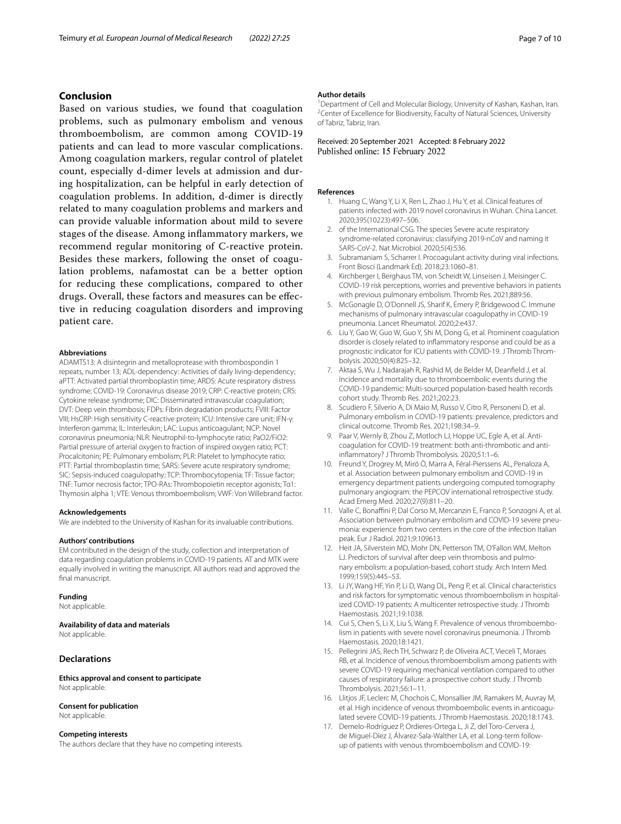# **Conclusion**

Based on various studies, we found that coagulation problems, such as pulmonary embolism and venous thromboembolism, are common among COVID-19 patients and can lead to more vascular complications. Among coagulation markers, regular control of platelet count, especially d-dimer levels at admission and during hospitalization, can be helpful in early detection of coagulation problems. In addition, d-dimer is directly related to many coagulation problems and markers and can provide valuable information about mild to severe stages of the disease. Among infammatory markers, we recommend regular monitoring of C-reactive protein. Besides these markers, following the onset of coagulation problems, nafamostat can be a better option for reducing these complications, compared to other drugs. Overall, these factors and measures can be efective in reducing coagulation disorders and improving patient care.

#### **Abbreviations**

ADAMTS13: A disintegrin and metalloprotease with thrombospondin 1 repeats, number 13; ADL-dependency: Activities of daily living-dependency; aPTT: Activated partial thromboplastin time; ARDS: Acute respiratory distress syndrome; COVID-19: Coronavirus disease 2019; CRP: C-reactive protein; CRS: Cytokine release syndrome; DIC: Disseminated intravascular coagulation; DVT: Deep vein thrombosis; FDPs: Fibrin degradation products; FVIII: Factor VIII; HsCRP: High sensitivity C-reactive protein; ICU: Intensive care unit; IFN-γ: Interferon gamma; IL: Interleukin; LAC: Lupus anticoagulant; NCP: Novel coronavirus pneumonia; NLR: Neutrophil-to-lymphocyte ratio; PaO2/FiO2: Partial pressure of arterial oxygen to fraction of inspired oxygen ratio; PCT: Procalcitonin; PE: Pulmonary embolism; PLR: Platelet to lymphocyte ratio; PTT: Partial thromboplastin time; SARS: Severe acute respiratory syndrome; SIC: Sepsis-induced coagulopathy; TCP: Thrombocytopenia; TF: Tissue factor; TNF: Tumor necrosis factor; TPO-RAs: Thrombopoietin receptor agonists; Tα1: Thymosin alpha 1; VTE: Venous thromboembolism; VWF: Von Willebrand factor.

#### **Acknowledgements**

We are indebted to the University of Kashan for its invaluable contributions.

#### **Authors' contributions**

EM contributed in the design of the study, collection and interpretation of data regarding coagulation problems in COVID-19 patients. AT and MTK were equally involved in writing the manuscript. All authors read and approved the final manuscript.

#### **Funding**

Not applicable.

#### **Availability of data and materials**

Not applicable.

# **Declarations**

**Ethics approval and consent to participate** Not applicable.

# **Consent for publication**

Not applicable.

#### **Competing interests**

The authors declare that they have no competing interests.

#### **Author details**

<sup>1</sup> Department of Cell and Molecular Biology, University of Kashan, Kashan, Iran.<br><sup>2</sup>Center of Excellence for Biodiversity, Faculty of Natural Sciences, University <sup>2</sup>Center of Excellence for Biodiversity, Faculty of Natural Sciences, University of Tabriz, Tabriz, Iran.

Received: 20 September 2021 Accepted: 8 February 2022 Published online: 15 February 2022

#### <span id="page-6-0"></span>**References**

- 1. Huang C, Wang Y, Li X, Ren L, Zhao J, Hu Y, et al. Clinical features of patients infected with 2019 novel coronavirus in Wuhan. China Lancet. 2020;395(10223):497–506.
- <span id="page-6-1"></span>2. of the International CSG. The species Severe acute respiratory syndrome-related coronavirus: classifying 2019-nCoV and naming it SARS-CoV-2. Nat Microbiol. 2020;5(4):536.
- <span id="page-6-2"></span>3. Subramaniam S, Scharrer I. Procoagulant activity during viral infections. Front Biosci (Landmark Ed). 2018;23:1060–81.
- <span id="page-6-3"></span>4. Kirchberger I, Berghaus TM, von Scheidt W, Linseisen J, Meisinger C. COVID-19 risk perceptions, worries and preventive behaviors in patients with previous pulmonary embolism. Thromb Res. 2021;889:56.
- <span id="page-6-4"></span>5. McGonagle D, O'Donnell JS, Sharif K, Emery P, Bridgewood C. Immune mechanisms of pulmonary intravascular coagulopathy in COVID-19 pneumonia. Lancet Rheumatol. 2020;2:e437.
- <span id="page-6-5"></span>6. Liu Y, Gao W, Guo W, Guo Y, Shi M, Dong G, et al. Prominent coagulation disorder is closely related to infammatory response and could be as a prognostic indicator for ICU patients with COVID-19. J Thromb Thrombolysis. 2020;50(4):825–32.
- <span id="page-6-6"></span>7. Aktaa S, Wu J, Nadarajah R, Rashid M, de Belder M, Deanfeld J, et al. Incidence and mortality due to thromboembolic events during the COVID-19 pandemic: Multi-sourced population-based health records cohort study. Thromb Res. 2021;202:23.
- <span id="page-6-7"></span>8. Scudiero F, Silverio A, Di Maio M, Russo V, Citro R, Personeni D, et al. Pulmonary embolism in COVID-19 patients: prevalence, predictors and clinical outcome. Thromb Res. 2021;198:34–9.
- <span id="page-6-8"></span>9. Paar V, Wernly B, Zhou Z, Motloch LJ, Hoppe UC, Egle A, et al. Anticoagulation for COVID-19 treatment: both anti-thrombotic and antiinfammatory? J Thromb Thrombolysis. 2020;51:1–6.
- <span id="page-6-9"></span>10. Freund Y, Drogrey M, Miró Ò, Marra A, Féral-Pierssens AL, Penaloza A, et al. Association between pulmonary embolism and COVID-19 in emergency department patients undergoing computed tomography pulmonary angiogram: the PEPCOV international retrospective study. Acad Emerg Med. 2020;27(9):811–20.
- <span id="page-6-10"></span>11. Valle C, Bonaffini P, Dal Corso M, Mercanzin E, Franco P, Sonzogni A, et al. Association between pulmonary embolism and COVID-19 severe pneumonia: experience from two centers in the core of the infection Italian peak. Eur J Radiol. 2021;9:109613.
- <span id="page-6-11"></span>12. Heit JA, Silverstein MD, Mohr DN, Petterson TM, O'Fallon WM, Melton LJ. Predictors of survival after deep vein thrombosis and pulmonary embolism: a population-based, cohort study. Arch Intern Med. 1999;159(5):445–53.
- <span id="page-6-12"></span>13. Li JY, Wang HF, Yin P, Li D, Wang DL, Peng P, et al. Clinical characteristics and risk factors for symptomatic venous thromboembolism in hospitalized COVID-19 patients: A multicenter retrospective study. J Thromb Haemostasis. 2021;19:1038.
- <span id="page-6-13"></span>14. Cui S, Chen S, Li X, Liu S, Wang F. Prevalence of venous thromboembolism in patients with severe novel coronavirus pneumonia. J Thromb Haemostasis. 2020;18:1421.
- <span id="page-6-14"></span>15. Pellegrini JAS, Rech TH, Schwarz P, de Oliveira ACT, Vieceli T, Moraes RB, et al. Incidence of venous thromboembolism among patients with severe COVID-19 requiring mechanical ventilation compared to other causes of respiratory failure: a prospective cohort study. J Thromb Thrombolysis. 2021;56:1–11.
- <span id="page-6-15"></span>16. Llitjos JF, Leclerc M, Chochois C, Monsallier JM, Ramakers M, Auvray M, et al. High incidence of venous thromboembolic events in anticoagulated severe COVID-19 patients. J Thromb Haemostasis. 2020;18:1743.
- <span id="page-6-16"></span>17. Demelo-Rodríguez P, Ordieres-Ortega L, Ji Z, del Toro-Cervera J, de Miguel-Díez J, Álvarez-Sala-Walther LA, et al. Long-term followup of patients with venous thromboembolism and COVID-19: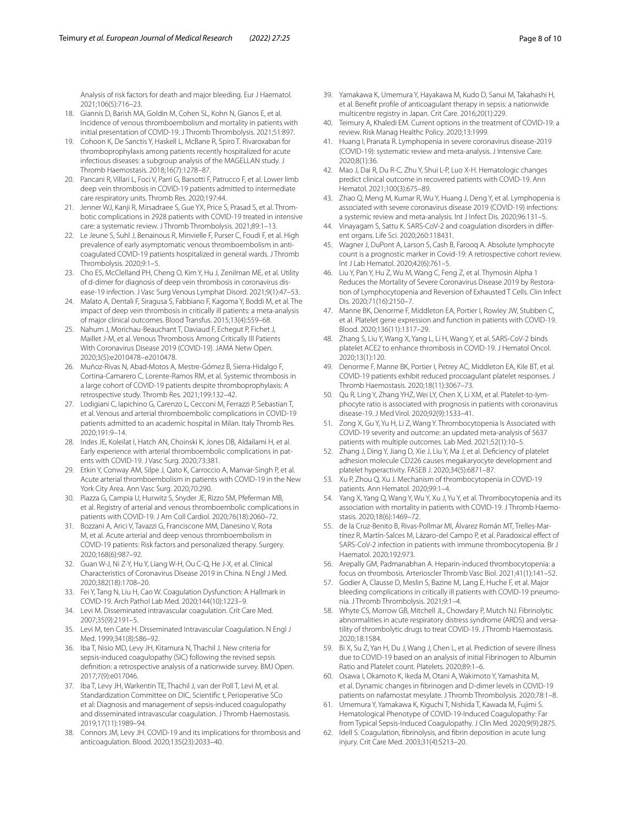Analysis of risk factors for death and major bleeding. Eur J Haematol. 2021;106(5):716–23.

- <span id="page-7-0"></span>18. Giannis D, Barish MA, Goldin M, Cohen SL, Kohn N, Gianos E, et al. Incidence of venous thromboembolism and mortality in patients with initial presentation of COVID-19. J Thromb Thrombolysis. 2021;51:897.
- <span id="page-7-1"></span>19. Cohoon K, De Sanctis Y, Haskell L, McBane R, Spiro T. Rivaroxaban for thromboprophylaxis among patients recently hospitalized for acute infectious diseases: a subgroup analysis of the MAGELLAN study. J Thromb Haemostasis. 2018;16(7):1278–87.
- <span id="page-7-2"></span>20. Pancani R, Villari L, Foci V, Parri G, Barsotti F, Patrucco F, et al. Lower limb deep vein thrombosis in COVID-19 patients admitted to intermediate care respiratory units. Thromb Res. 2020;197:44.
- <span id="page-7-3"></span>21. Jenner WJ, Kanji R, Mirsadraee S, Gue YX, Price S, Prasad S, et al. Thrombotic complications in 2928 patients with COVID-19 treated in intensive care: a systematic review. J Thromb Thrombolysis. 2021;89:1–13.
- <span id="page-7-4"></span>22. Le Jeune S, Suhl J, Benainous R, Minvielle F, Purser C, Foudi F, et al. High prevalence of early asymptomatic venous thromboembolism in anticoagulated COVID-19 patients hospitalized in general wards. J Thromb Thrombolysis. 2020;9:1–5.
- <span id="page-7-5"></span>23. Cho ES, McClelland PH, Cheng O, Kim Y, Hu J, Zenilman ME, et al. Utility of d-dimer for diagnosis of deep vein thrombosis in coronavirus disease-19 infection. J Vasc Surg Venous Lymphat Disord. 2021;9(1):47–53.
- <span id="page-7-16"></span>24. Malato A, Dentali F, Siragusa S, Fabbiano F, Kagoma Y, Boddi M, et al. The impact of deep vein thrombosis in critically ill patients: a meta-analysis of major clinical outcomes. Blood Transfus. 2015;13(4):559–68.
- <span id="page-7-8"></span>Nahum J, Morichau-Beauchant T, Daviaud F, Echegut P, Fichet J, Maillet J-M, et al. Venous Thrombosis Among Critically Ill Patients With Coronavirus Disease 2019 (COVID-19). JAMA Netw Open. 2020;3(5):e2010478–e2010478.
- <span id="page-7-6"></span>26. Muñoz-Rivas N, Abad-Motos A, Mestre-Gómez B, Sierra-Hidalgo F, Cortina-Camarero C, Lorente-Ramos RM, et al. Systemic thrombosis in a large cohort of COVID-19 patients despite thromboprophylaxis: A retrospective study. Thromb Res. 2021;199:132–42.
- <span id="page-7-17"></span>27. Lodigiani C, Iapichino G, Carenzo L, Cecconi M, Ferrazzi P, Sebastian T, et al. Venous and arterial thromboembolic complications in COVID-19 patients admitted to an academic hospital in Milan. Italy Thromb Res. 2020;191:9–14.
- <span id="page-7-18"></span>28. Indes JE, Koleilat I, Hatch AN, Choinski K, Jones DB, Aldailami H, et al. Early experience with arterial thromboembolic complications in patents with COVID-19. J Vasc Surg. 2020;73:381.
- <span id="page-7-19"></span>29. Etkin Y, Conway AM, Silpe J, Qato K, Carroccio A, Manvar-Singh P, et al. Acute arterial thromboembolism in patients with COVID-19 in the New York City Area. Ann Vasc Surg. 2020;70:290.
- <span id="page-7-20"></span>30. Piazza G, Campia U, Hurwitz S, Snyder JE, Rizzo SM, Pfeferman MB, et al. Registry of arterial and venous thromboembolic complications in patients with COVID-19. J Am Coll Cardiol. 2020;76(18):2060–72.
- <span id="page-7-7"></span>31. Bozzani A, Arici V, Tavazzi G, Franciscone MM, Danesino V, Rota M, et al. Acute arterial and deep venous thromboembolism in COVID-19 patients: Risk factors and personalized therapy. Surgery. 2020;168(6):987–92.
- <span id="page-7-9"></span>32. Guan W-J, Ni Z-Y, Hu Y, Liang W-H, Ou C-Q, He J-X, et al. Clinical Characteristics of Coronavirus Disease 2019 in China. N Engl J Med. 2020;382(18):1708–20.
- <span id="page-7-21"></span>33. Fei Y, Tang N, Liu H, Cao W. Coagulation Dysfunction: A Hallmark in COVID-19. Arch Pathol Lab Med. 2020;144(10):1223–9.
- <span id="page-7-22"></span>34. Levi M. Disseminated intravascular coagulation. Crit Care Med. 2007;35(9):2191–5.
- <span id="page-7-23"></span>35. Levi M, ten Cate H. Disseminated Intravascular Coagulation. N Engl J Med. 1999;341(8):586–92.
- <span id="page-7-24"></span>36. Iba T, Nisio MD, Levy JH, Kitamura N, Thachil J. New criteria for sepsis-induced coagulopathy (SIC) following the revised sepsis defnition: a retrospective analysis of a nationwide survey. BMJ Open. 2017;7(9):e017046.
- <span id="page-7-25"></span>37. Iba T, Levy JH, Warkentin TE, Thachil J, van der Poll T, Levi M, et al. Standardization Committee on DIC, Scientific t, Perioperative SCo et al: Diagnosis and management of sepsis-induced coagulopathy and disseminated intravascular coagulation. J Thromb Haemostasis. 2019;17(11):1989–94.
- <span id="page-7-26"></span>38. Connors JM, Levy JH. COVID-19 and its implications for thrombosis and anticoagulation. Blood. 2020;135(23):2033–40.
- <span id="page-7-27"></span>39. Yamakawa K, Umemura Y, Hayakawa M, Kudo D, Sanui M, Takahashi H, et al. Beneft profle of anticoagulant therapy in sepsis: a nationwide multicentre registry in Japan. Crit Care. 2016;20(1):229.
- <span id="page-7-10"></span>40. Teimury A, Khaledi EM. Current options in the treatment of COVID-19: a review. Risk Manag Healthc Policy. 2020;13:1999.
- <span id="page-7-12"></span>41. Huang I, Pranata R. Lymphopenia in severe coronavirus disease-2019 (COVID-19): systematic review and meta-analysis. J Intensive Care. 2020;8(1):36.
- <span id="page-7-28"></span>42. Mao J, Dai R, Du R-C, Zhu Y, Shui L-P, Luo X-H. Hematologic changes predict clinical outcome in recovered patients with COVID-19. Ann Hematol. 2021;100(3):675–89.
- <span id="page-7-29"></span>43. Zhao Q, Meng M, Kumar R, Wu Y, Huang J, Deng Y, et al. Lymphopenia is associated with severe coronavirus disease 2019 (COVID-19) infections: a systemic review and meta-analysis. Int J Infect Dis. 2020;96:131–5.
- <span id="page-7-30"></span>44. Vinayagam S, Sattu K. SARS-CoV-2 and coagulation disorders in diferent organs. Life Sci. 2020;260:118431.
- <span id="page-7-31"></span>45. Wagner J, DuPont A, Larson S, Cash B, Farooq A. Absolute lymphocyte count is a prognostic marker in Covid-19: A retrospective cohort review. Int J Lab Hematol. 2020;42(6):761–5.
- <span id="page-7-13"></span>46. Liu Y, Pan Y, Hu Z, Wu M, Wang C, Feng Z, et al. Thymosin Alpha 1 Reduces the Mortality of Severe Coronavirus Disease 2019 by Restoration of Lymphocytopenia and Reversion of Exhausted T Cells. Clin Infect Dis. 2020;71(16):2150–7.
- <span id="page-7-14"></span>47. Manne BK, Denorme F, Middleton EA, Portier I, Rowley JW, Stubben C, et al. Platelet gene expression and function in patients with COVID-19. Blood. 2020;136(11):1317–29.
- <span id="page-7-32"></span>48. Zhang S, Liu Y, Wang X, Yang L, Li H, Wang Y, et al. SARS-CoV-2 binds platelet ACE2 to enhance thrombosis in COVID-19. J Hematol Oncol. 2020;13(1):120.
- <span id="page-7-33"></span>49. Denorme F, Manne BK, Portier I, Petrey AC, Middleton EA, Kile BT, et al. COVID-19 patients exhibit reduced procoagulant platelet responses. J Thromb Haemostasis. 2020;18(11):3067–73.
- <span id="page-7-34"></span>50. Qu R, Ling Y, Zhang YHZ, Wei LY, Chen X, Li XM, et al. Platelet-to-lymphocyte ratio is associated with prognosis in patients with coronavirus disease-19. J Med Virol. 2020;92(9):1533–41.
- <span id="page-7-35"></span>51. Zong X, Gu Y, Yu H, Li Z, Wang Y. Thrombocytopenia Is Associated with COVID-19 severity and outcome: an updated meta-analysis of 5637 patients with multiple outcomes. Lab Med. 2021;52(1):10–5.
- <span id="page-7-15"></span>52. Zhang J, Ding Y, Jiang D, Xie J, Liu Y, Ma J, et al. Defciency of platelet adhesion molecule CD226 causes megakaryocyte development and platelet hyperactivity. FASEB J. 2020;34(5):6871–87.
- <span id="page-7-36"></span>53. Xu P, Zhou Q, Xu J. Mechanism of thrombocytopenia in COVID-19 patients. Ann Hematol. 2020;99:1–4.
- <span id="page-7-37"></span>54. Yang X, Yang Q, Wang Y, Wu Y, Xu J, Yu Y, et al. Thrombocytopenia and its association with mortality in patients with COVID-19. J Thromb Haemostasis. 2020;18(6):1469–72.
- <span id="page-7-38"></span>55. de la Cruz-Benito B, Rivas-Pollmar MI, Álvarez Román MT, Trelles-Martínez R, Martín-Salces M, Lázaro-del Campo P, et al. Paradoxical efect of SARS-CoV-2 infection in patients with immune thrombocytopenia. Br J Haematol. 2020;192:973.
- <span id="page-7-39"></span>56. Arepally GM, Padmanabhan A. Heparin-induced thrombocytopenia: a focus on thrombosis. Arterioscler Thromb Vasc Biol. 2021;41(1):141–52.
- <span id="page-7-11"></span>57. Godier A, Clausse D, Meslin S, Bazine M, Lang E, Huche F, et al. Major bleeding complications in critically ill patients with COVID-19 pneumonia. J Thromb Thrombolysis. 2021;9:1–4.
- <span id="page-7-40"></span>58. Whyte CS, Morrow GB, Mitchell JL, Chowdary P, Mutch NJ. Fibrinolytic abnormalities in acute respiratory distress syndrome (ARDS) and versatility of thrombolytic drugs to treat COVID-19. J Thromb Haemostasis. 2020;18:1584.
- <span id="page-7-41"></span>59. Bi X, Su Z, Yan H, Du J, Wang J, Chen L, et al. Prediction of severe illness due to COVID-19 based on an analysis of initial Fibrinogen to Albumin Ratio and Platelet count. Platelets. 2020;89:1–6.
- <span id="page-7-42"></span>60. Osawa I, Okamoto K, Ikeda M, Otani A, Wakimoto Y, Yamashita M, et al. Dynamic changes in fbrinogen and D-dimer levels in COVID-19 patients on nafamostat mesylate. J Thromb Thrombolysis. 2020;78:1–8.
- <span id="page-7-43"></span>61. Umemura Y, Yamakawa K, Kiguchi T, Nishida T, Kawada M, Fujimi S. Hematological Phenotype of COVID-19-Induced Coagulopathy: Far from Typical Sepsis-Induced Coagulopathy. J Clin Med. 2020;9(9):2875.
- <span id="page-7-44"></span>62. Idell S. Coagulation, fbrinolysis, and fbrin deposition in acute lung injury. Crit Care Med. 2003;31(4):S213–20.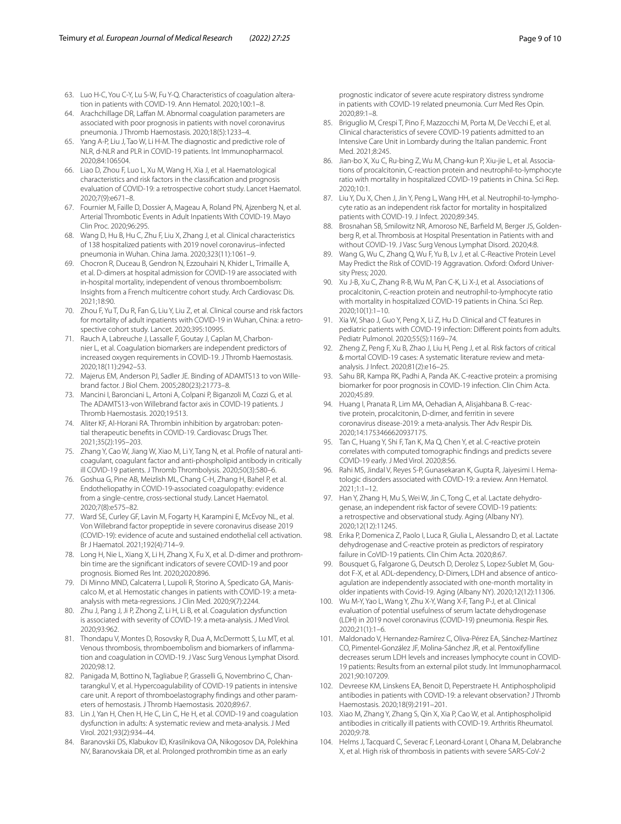- <span id="page-8-16"></span>63. Luo H-C, You C-Y, Lu S-W, Fu Y-Q. Characteristics of coagulation alteration in patients with COVID-19. Ann Hematol. 2020;100:1–8.
- <span id="page-8-5"></span>64. Arachchillage DR, Laffan M. Abnormal coagulation parameters are associated with poor prognosis in patients with novel coronavirus pneumonia. J Thromb Haemostasis. 2020;18(5):1233–4.
- <span id="page-8-13"></span>65. Yang A-P, Liu J, Tao W, Li H-M. The diagnostic and predictive role of NLR, d-NLR and PLR in COVID-19 patients. Int Immunopharmacol. 2020;84:106504.
- <span id="page-8-4"></span>66. Liao D, Zhou F, Luo L, Xu M, Wang H, Xia J, et al. Haematological characteristics and risk factors in the classifcation and prognosis evaluation of COVID-19: a retrospective cohort study. Lancet Haematol. 2020;7(9):e671–8.
- <span id="page-8-0"></span>67. Fournier M, Faille D, Dossier A, Mageau A, Roland PN, Ajzenberg N, et al. Arterial Thrombotic Events in Adult Inpatients With COVID-19. Mayo Clin Proc. 2020;96:295.
- <span id="page-8-17"></span>68. Wang D, Hu B, Hu C, Zhu F, Liu X, Zhang J, et al. Clinical characteristics of 138 hospitalized patients with 2019 novel coronavirus–infected pneumonia in Wuhan. China Jama. 2020;323(11):1061–9.
- <span id="page-8-18"></span>69. Chocron R, Duceau B, Gendron N, Ezzouhairi N, Khider L, Trimaille A, et al. D-dimers at hospital admission for COVID-19 are associated with in-hospital mortality, independent of venous thromboembolism: Insights from a French multicentre cohort study. Arch Cardiovasc Dis. 2021;18:90.
- <span id="page-8-1"></span>70. Zhou F, Yu T, Du R, Fan G, Liu Y, Liu Z, et al. Clinical course and risk factors for mortality of adult inpatients with COVID-19 in Wuhan, China: a retrospective cohort study. Lancet. 2020;395:10995.
- <span id="page-8-2"></span>71. Rauch A, Labreuche J, Lassalle F, Goutay J, Caplan M, Charbonnier L, et al. Coagulation biomarkers are independent predictors of increased oxygen requirements in COVID-19. J Thromb Haemostasis. 2020;18(11):2942–53.
- <span id="page-8-19"></span>72. Majerus EM, Anderson PJ, Sadler JE. Binding of ADAMTS13 to von Willebrand factor. J Biol Chem. 2005;280(23):21773–8.
- <span id="page-8-20"></span>73. Mancini I, Baronciani L, Artoni A, Colpani P, Biganzoli M, Cozzi G, et al. The ADAMTS13-von Willebrand factor axis in COVID-19 patients. J Thromb Haemostasis. 2020;19:513.
- <span id="page-8-21"></span>74. Aliter KF, Al-Horani RA. Thrombin inhibition by argatroban: potential therapeutic benefts in COVID-19. Cardiovasc Drugs Ther. 2021;35(2):195–203.
- <span id="page-8-22"></span>75. Zhang Y, Cao W, Jiang W, Xiao M, Li Y, Tang N, et al. Profle of natural anticoagulant, coagulant factor and anti-phospholipid antibody in critically ill COVID-19 patients. J Thromb Thrombolysis. 2020;50(3):580–6.
- <span id="page-8-23"></span>76. Goshua G, Pine AB, Meizlish ML, Chang C-H, Zhang H, Bahel P, et al. Endotheliopathy in COVID-19-associated coagulopathy: evidence from a single-centre, cross-sectional study. Lancet Haematol. 2020;7(8):e575–82.
- <span id="page-8-3"></span>77. Ward SE, Curley GF, Lavin M, Fogarty H, Karampini E, McEvoy NL, et al. Von Willebrand factor propeptide in severe coronavirus disease 2019 (COVID-19): evidence of acute and sustained endothelial cell activation. Br J Haematol. 2021;192(4):714–9.
- <span id="page-8-6"></span>78. Long H, Nie L, Xiang X, Li H, Zhang X, Fu X, et al. D-dimer and prothrombin time are the signifcant indicators of severe COVID-19 and poor prognosis. Biomed Res Int. 2020;2020:896.
- <span id="page-8-24"></span>79. Di Minno MND, Calcaterra I, Lupoli R, Storino A, Spedicato GA, Maniscalco M, et al. Hemostatic changes in patients with COVID-19: a metaanalysis with meta-regressions. J Clin Med. 2020;9(7):2244.
- <span id="page-8-25"></span>80. Zhu J, Pang J, Ji P, Zhong Z, Li H, Li B, et al. Coagulation dysfunction is associated with severity of COVID-19: a meta-analysis. J Med Virol. 2020;93:962.
- <span id="page-8-26"></span>81. Thondapu V, Montes D, Rosovsky R, Dua A, McDermott S, Lu MT, et al. Venous thrombosis, thromboembolism and biomarkers of infammation and coagulation in COVID-19. J Vasc Surg Venous Lymphat Disord. 2020;98:12.
- <span id="page-8-27"></span>82. Panigada M, Bottino N, Tagliabue P, Grasselli G, Novembrino C, Chantarangkul V, et al. Hypercoagulability of COVID-19 patients in intensive care unit. A report of thromboelastography fndings and other parameters of hemostasis. J Thromb Haemostasis. 2020;89:67.
- <span id="page-8-28"></span>83. Lin J, Yan H, Chen H, He C, Lin C, He H, et al. COVID-19 and coagulation dysfunction in adults: A systematic review and meta-analysis. J Med Virol. 2021;93(2):934–44.
- <span id="page-8-29"></span>84. Baranovskii DS, Klabukov ID, Krasilnikova OA, Nikogosov DA, Polekhina NV, Baranovskaia DR, et al. Prolonged prothrombin time as an early

prognostic indicator of severe acute respiratory distress syndrome in patients with COVID-19 related pneumonia. Curr Med Res Opin. 2020;89:1–8.

- <span id="page-8-7"></span>85. Briguglio M, Crespi T, Pino F, Mazzocchi M, Porta M, De Vecchi E, et al. Clinical characteristics of severe COVID-19 patients admitted to an Intensive Care Unit in Lombardy during the Italian pandemic. Front Med. 2021;8:245.
- <span id="page-8-14"></span>86. Jian-bo X, Xu C, Ru-bing Z, Wu M, Chang-kun P, Xiu-jie L, et al. Associations of procalcitonin, C-reaction protein and neutrophil-to-lymphocyte ratio with mortality in hospitalized COVID-19 patients in China. Sci Rep. 2020;10:1.
- <span id="page-8-15"></span>87. Liu Y, Du X, Chen J, Jin Y, Peng L, Wang HH, et al. Neutrophil-to-lymphocyte ratio as an independent risk factor for mortality in hospitalized patients with COVID-19. J Infect. 2020;89:345.
- <span id="page-8-9"></span>88. Brosnahan SB, Smilowitz NR, Amoroso NE, Barfeld M, Berger JS, Goldenberg R, et al. Thrombosis at Hospital Presentation in Patients with and without COVID-19. J Vasc Surg Venous Lymphat Disord. 2020;4:8.
- <span id="page-8-30"></span>89. Wang G, Wu C, Zhang Q, Wu F, Yu B, Lv J, et al. C-Reactive Protein Level May Predict the Risk of COVID-19 Aggravation. Oxford: Oxford University Press; 2020.
- <span id="page-8-31"></span>90. Xu J-B, Xu C, Zhang R-B, Wu M, Pan C-K, Li X-J, et al. Associations of procalcitonin, C-reaction protein and neutrophil-to-lymphocyte ratio with mortality in hospitalized COVID-19 patients in China. Sci Rep. 2020;10(1):1–10.
- <span id="page-8-32"></span>91. Xia W, Shao J, Guo Y, Peng X, Li Z, Hu D. Clinical and CT features in pediatric patients with COVID-19 infection: Diferent points from adults. Pediatr Pulmonol. 2020;55(5):1169–74.
- <span id="page-8-33"></span>92. Zheng Z, Peng F, Xu B, Zhao J, Liu H, Peng J, et al. Risk factors of critical & mortal COVID-19 cases: A systematic literature review and metaanalysis. J Infect. 2020;81(2):e16–25.
- <span id="page-8-34"></span>Sahu BR, Kampa RK, Padhi A, Panda AK. C-reactive protein: a promising biomarker for poor prognosis in COVID-19 infection. Clin Chim Acta. 2020;45:89.
- <span id="page-8-35"></span>94. Huang I, Pranata R, Lim MA, Oehadian A, Alisjahbana B. C-reactive protein, procalcitonin, D-dimer, and ferritin in severe coronavirus disease-2019: a meta-analysis. Ther Adv Respir Dis. 2020;14:1753466620937175.
- <span id="page-8-10"></span>95. Tan C, Huang Y, Shi F, Tan K, Ma Q, Chen Y, et al. C-reactive protein correlates with computed tomographic fndings and predicts severe COVID-19 early. J Med Virol. 2020;8:56.
- <span id="page-8-11"></span>96. Rahi MS, Jindal V, Reyes S-P, Gunasekaran K, Gupta R, Jaiyesimi I. Hematologic disorders associated with COVID-19: a review. Ann Hematol. 2021;1:1–12.
- <span id="page-8-36"></span>97. Han Y, Zhang H, Mu S, Wei W, Jin C, Tong C, et al. Lactate dehydrogenase, an independent risk factor of severe COVID-19 patients: a retrospective and observational study. Aging (Albany NY). 2020;12(12):11245.
- <span id="page-8-37"></span>98. Erika P, Domenica Z, Paolo I, Luca R, Giulia L, Alessandro D, et al. Lactate dehydrogenase and C-reactive protein as predictors of respiratory failure in CoVID-19 patients. Clin Chim Acta. 2020;8:67.
- <span id="page-8-38"></span>99. Bousquet G, Falgarone G, Deutsch D, Derolez S, Lopez-Sublet M, Goudot F-X, et al. ADL-dependency, D-Dimers, LDH and absence of anticoagulation are independently associated with one-month mortality in older inpatients with Covid-19. Aging (Albany NY). 2020;12(12):11306.
- <span id="page-8-39"></span>100. Wu M-Y, Yao L, Wang Y, Zhu X-Y, Wang X-F, Tang P-J, et al. Clinical evaluation of potential usefulness of serum lactate dehydrogenase (LDH) in 2019 novel coronavirus (COVID-19) pneumonia. Respir Res. 2020;21(1):1–6.
- <span id="page-8-12"></span>101. Maldonado V, Hernandez-Ramírez C, Oliva-Pérez EA, Sánchez-Martínez CO, Pimentel-González JF, Molina-Sánchez JR, et al. Pentoxifylline decreases serum LDH levels and increases lymphocyte count in COVID-19 patients: Results from an external pilot study. Int Immunopharmacol. 2021;90:107209.
- <span id="page-8-8"></span>102. Devreese KM, Linskens EA, Benoit D, Peperstraete H. Antiphospholipid antibodies in patients with COVID-19: a relevant observation? J Thromb Haemostasis. 2020;18(9):2191–201.
- <span id="page-8-40"></span>103. Xiao M, Zhang Y, Zhang S, Qin X, Xia P, Cao W, et al. Antiphospholipid antibodies in critically ill patients with COVID-19. Arthritis Rheumatol. 2020;9:78.
- <span id="page-8-41"></span>104. Helms J, Tacquard C, Severac F, Leonard-Lorant I, Ohana M, Delabranche X, et al. High risk of thrombosis in patients with severe SARS-CoV-2